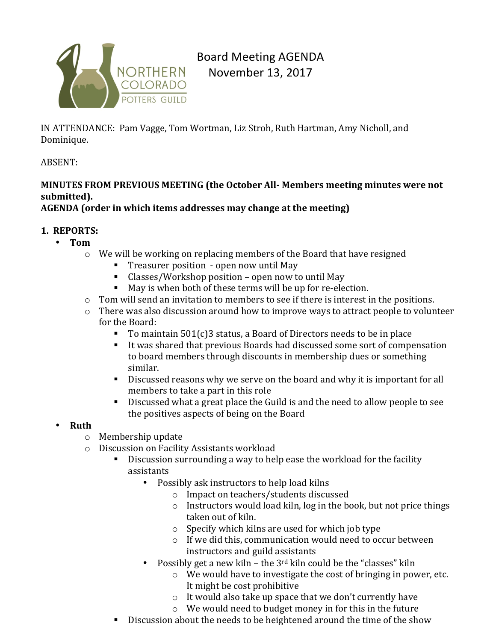

Board Meeting AGENDA November 13, 2017

IN ATTENDANCE: Pam Vagge, Tom Wortman, Liz Stroh, Ruth Hartman, Amy Nicholl, and Dominique.

### ABSENT:

# **MINUTES FROM PREVIOUS MEETING (the October All- Members meeting minutes were not submitted).**

## AGENDA (order in which items addresses may change at the meeting)

### **1. REPORTS:**

- **Tom**
	- $\circ$  We will be working on replacing members of the Board that have resigned
		- **Treasurer position** open now until May
		- $\blacksquare$  Classes/Workshop position open now to until May
		- $\blacksquare$  May is when both of these terms will be up for re-election.
	- $\circ$  Tom will send an invitation to members to see if there is interest in the positions.
	- $\circ$  There was also discussion around how to improve ways to attract people to volunteer for the Board:
		- To maintain  $501(c)3$  status, a Board of Directors needs to be in place
		- It was shared that previous Boards had discussed some sort of compensation to board members through discounts in membership dues or something similar.
		- Discussed reasons why we serve on the board and why it is important for all members to take a part in this role
		- Discussed what a great place the Guild is and the need to allow people to see the positives aspects of being on the Board

### • **Ruth**

- $\circ$  Membership update
- o Discussion on Facility Assistants workload
	- $\blacksquare$  Discussion surrounding a way to help ease the workload for the facility assistants
		- Possibly ask instructors to help load kilns
			- o Impact on teachers/students discussed
			- $\circ$  Instructors would load kiln, log in the book, but not price things taken out of kiln.
			- $\circ$  Specify which kilns are used for which job type
			- $\circ$  If we did this, communication would need to occur between instructors and guild assistants
		- Possibly get a new kiln the  $3^{rd}$  kiln could be the "classes" kiln
			- $\circ$  We would have to investigate the cost of bringing in power, etc. It might be cost prohibitive
			- $\circ$  It would also take up space that we don't currently have
			- $\circ$  We would need to budget money in for this in the future
	- **.** Discussion about the needs to be heightened around the time of the show